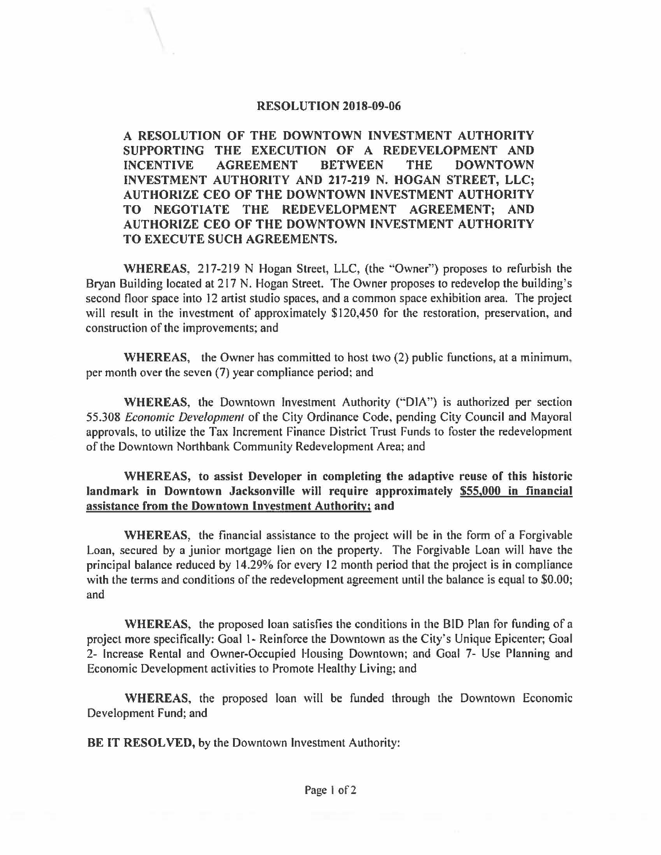## **RESOLUTION 2018-09-06**

**A RESOLUTION OF THE DOWNTOWN INVESTMENT AUTHORITY SUPPORTING THE EXECUTION OF A REDEVELOPMENT AND INCENTIVE AGREEMENT BETWEEN THE DOWNTOWN INVESTMENT AUTHORITY AND 217-219 N. HOGAN STREET, LLC; AUTHORIZE CEO OF THE DOWNTOWN INVESTMENT AUTHORITY TO NEGOTIATE THE REDEVELOPMENT AGREEMENT; AND AUTHORIZE CEO OF THE DOWNTOWN INVESTMENT AUTHORITY TO EXECUTE SUCH AGREEMENTS.** 

WHEREAS, 217-219 N Hogan Street, LLC, (the "Owner") proposes to refurbish the Bryan Building located at 217 N. Hogan Street. The Owner proposes to redevelop the building's second floor space into 12 artist studio spaces, and a common space exhibition area. The project will result in the investment of approximately \$120,450 for the restoration, preservation, and construction of the improvements; and

**WHEREAS,** the Owner has committed to host two (2) public functions, at a minimum, per month over the seven (7) year compliance period: and

**WHEREAS,** the Downtown Investment Authority ('"DIA") is authorized per section 55.308 *Economic Developmenl* of the City Ordinance Code, pending City Council and Mayoral approvals, to utilize the Tax Increment Finance District Trust Funds to foster the redevelopment of the Downtown Northbank Community Redevelopment Area; and

**WHEREAS, to assist Developer in completing the adaptive reuse of this historic landmark in Downtown Jacksonville will require approximately \$55,000 in financial assistance from the Downtown Investment Authority; and** 

**WHEREAS,** the financial assistance to the project will be in the form of a Forgivable Loan, secured by a junior mortgage lien on the property. The Forgivable Loan will have the principal balance reduced by 14.29% for every 12 month period that the project is in compliance with the terms and conditions of the redevelopment agreement until the balance is equal to \$0.00; and

**WHEREAS,** the proposed loan satisfies the conditions in the BID Plan for funding of a project more specifically: Goal I- Reinforce the Downtown as the City's Unique Epicenter; Goal 2- Increase Rental and Owner-Occupied Housing Downtown; and Goal 7- Use Planning and Economic Development activities to Promote Healthy Living; and

**WHEREAS,** the proposed loan will be funded through the Downtown Economic Development Fund; and

BE IT **RESOLVED,** by the Downtown Investment Authority: